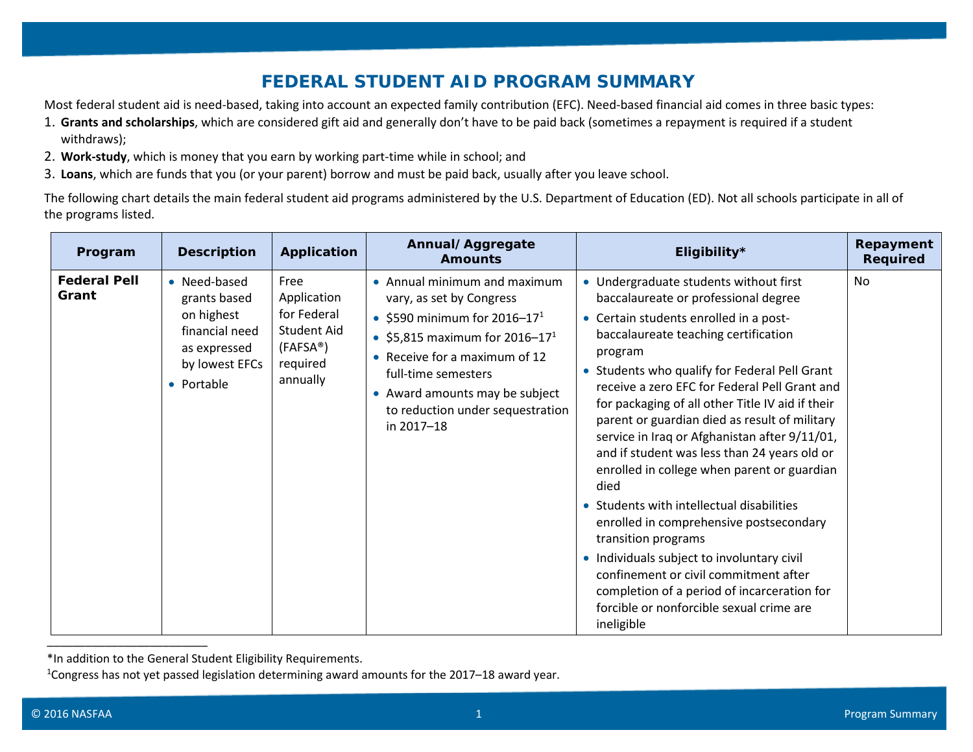## **FEDERAL STUDENT AID PROGRAM SUMMARY**

Most federal student aid is need-based, taking into account an expected family contribution (EFC). Need-based financial aid comes in three basic types:

- 1. **Grants and scholarships**, which are considered gift aid and generally don't have to be paid back (sometimes a repayment is required if a student withdraws);
- 2. **Work-study**, which is money that you earn by working part-time while in school; and
- 3. **Loans**, which are funds that you (or your parent) borrow and must be paid back, usually after you leave school.

The following chart details the main federal student aid programs administered by the U.S. Department of Education (ED). Not all schools participate in all of the programs listed.

| Program                      | <b>Description</b>                                                                                           | Application                                                                                        | Annual/Aggregate<br><b>Amounts</b>                                                                                                                                                                                                                                                             | Eligibility*                                                                                                                                                                                                                                                                                                                                                                                                                                                                                                                                                                                                                                                                                                                                                                                                                                              | Repayment<br><b>Required</b> |
|------------------------------|--------------------------------------------------------------------------------------------------------------|----------------------------------------------------------------------------------------------------|------------------------------------------------------------------------------------------------------------------------------------------------------------------------------------------------------------------------------------------------------------------------------------------------|-----------------------------------------------------------------------------------------------------------------------------------------------------------------------------------------------------------------------------------------------------------------------------------------------------------------------------------------------------------------------------------------------------------------------------------------------------------------------------------------------------------------------------------------------------------------------------------------------------------------------------------------------------------------------------------------------------------------------------------------------------------------------------------------------------------------------------------------------------------|------------------------------|
| <b>Federal Pell</b><br>Grant | • Need-based<br>grants based<br>on highest<br>financial need<br>as expressed<br>by lowest EFCs<br>• Portable | Free<br>Application<br>for Federal<br>Student Aid<br>(FAFSA <sup>®</sup> )<br>required<br>annually | • Annual minimum and maximum<br>vary, as set by Congress<br>• \$590 minimum for 2016-17 <sup>1</sup><br>• \$5,815 maximum for 2016-17 <sup>1</sup><br>• Receive for a maximum of 12<br>full-time semesters<br>• Award amounts may be subject<br>to reduction under sequestration<br>in 2017-18 | • Undergraduate students without first<br>baccalaureate or professional degree<br>• Certain students enrolled in a post-<br>baccalaureate teaching certification<br>program<br>• Students who qualify for Federal Pell Grant<br>receive a zero EFC for Federal Pell Grant and<br>for packaging of all other Title IV aid if their<br>parent or guardian died as result of military<br>service in Iraq or Afghanistan after 9/11/01,<br>and if student was less than 24 years old or<br>enrolled in college when parent or guardian<br>died<br>• Students with intellectual disabilities<br>enrolled in comprehensive postsecondary<br>transition programs<br>• Individuals subject to involuntary civil<br>confinement or civil commitment after<br>completion of a period of incarceration for<br>forcible or nonforcible sexual crime are<br>ineligible | <b>No</b>                    |

<sup>\*</sup>In addition to the General Student Eligibility Requirements.

<sup>1</sup>Congress has not yet passed legislation determining award amounts for the 2017–18 award year.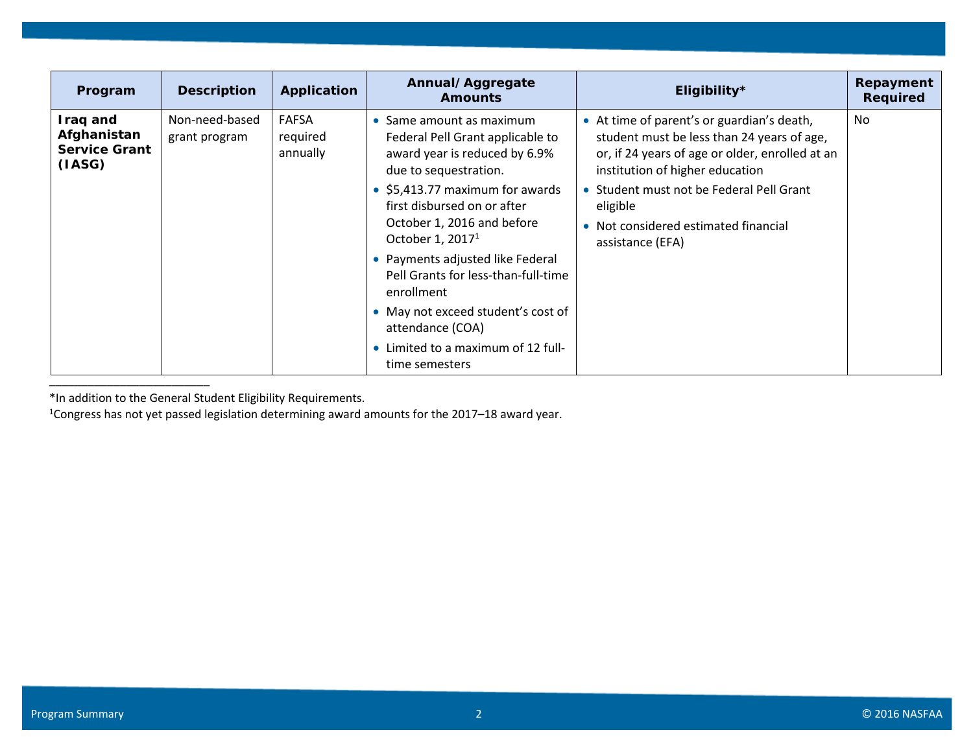| Program                                                   | <b>Description</b>              | Application                          | Annual/Aggregate<br><b>Amounts</b>                                                                                                                                                                                                                                                                                                                                                                                                                  | Eligibility*                                                                                                                                                                                                                                                                                       | Repayment<br><b>Required</b> |
|-----------------------------------------------------------|---------------------------------|--------------------------------------|-----------------------------------------------------------------------------------------------------------------------------------------------------------------------------------------------------------------------------------------------------------------------------------------------------------------------------------------------------------------------------------------------------------------------------------------------------|----------------------------------------------------------------------------------------------------------------------------------------------------------------------------------------------------------------------------------------------------------------------------------------------------|------------------------------|
| Iraq and<br>Afghanistan<br><b>Service Grant</b><br>(IASG) | Non-need-based<br>grant program | <b>FAFSA</b><br>required<br>annually | Same amount as maximum<br>Federal Pell Grant applicable to<br>award year is reduced by 6.9%<br>due to sequestration.<br>• \$5,413.77 maximum for awards<br>first disbursed on or after<br>October 1, 2016 and before<br>October 1, $20171$<br>• Payments adjusted like Federal<br>Pell Grants for less-than-full-time<br>enrollment<br>• May not exceed student's cost of<br>attendance (COA)<br>Limited to a maximum of 12 full-<br>time semesters | • At time of parent's or guardian's death,<br>student must be less than 24 years of age,<br>or, if 24 years of age or older, enrolled at an<br>institution of higher education<br>• Student must not be Federal Pell Grant<br>eligible<br>• Not considered estimated financial<br>assistance (EFA) | No                           |

<sup>1</sup>Congress has not yet passed legislation determining award amounts for the 2017–18 award year.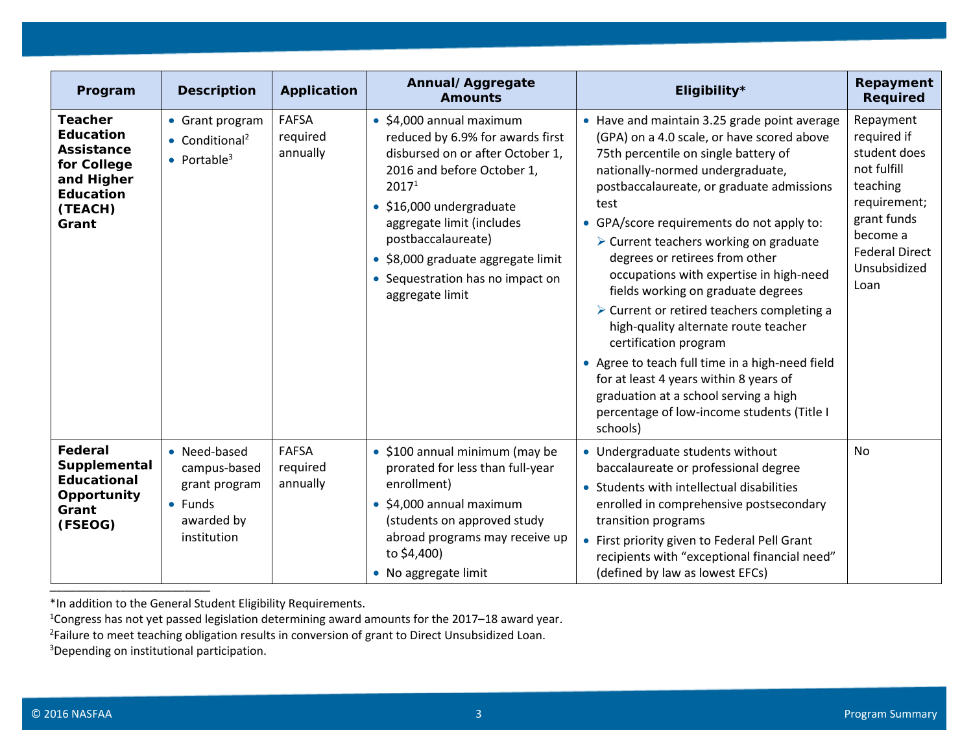| Program                                                                                                               | <b>Description</b>                                                                    | <b>Application</b>                   | Annual/Aggregate<br><b>Amounts</b>                                                                                                                                                                                                                                                                                                      | Eligibility*                                                                                                                                                                                                                                                                                                                                                                                                                                                                                                                                                                                                                                                                                                                                                        | Repayment<br><b>Required</b>                                                                                                                                    |
|-----------------------------------------------------------------------------------------------------------------------|---------------------------------------------------------------------------------------|--------------------------------------|-----------------------------------------------------------------------------------------------------------------------------------------------------------------------------------------------------------------------------------------------------------------------------------------------------------------------------------------|---------------------------------------------------------------------------------------------------------------------------------------------------------------------------------------------------------------------------------------------------------------------------------------------------------------------------------------------------------------------------------------------------------------------------------------------------------------------------------------------------------------------------------------------------------------------------------------------------------------------------------------------------------------------------------------------------------------------------------------------------------------------|-----------------------------------------------------------------------------------------------------------------------------------------------------------------|
| <b>Teacher</b><br><b>Education</b><br>Assistance<br>for College<br>and Higher<br><b>Education</b><br>(TEACH)<br>Grant | • Grant program<br>$\bullet$ Conditional <sup>2</sup><br>• Portable <sup>3</sup>      | <b>FAFSA</b><br>required<br>annually | $\bullet$ \$4,000 annual maximum<br>reduced by 6.9% for awards first<br>disbursed on or after October 1,<br>2016 and before October 1,<br>2017 <sup>1</sup><br>· \$16,000 undergraduate<br>aggregate limit (includes<br>postbaccalaureate)<br>• \$8,000 graduate aggregate limit<br>• Sequestration has no impact on<br>aggregate limit | • Have and maintain 3.25 grade point average<br>(GPA) on a 4.0 scale, or have scored above<br>75th percentile on single battery of<br>nationally-normed undergraduate,<br>postbaccalaureate, or graduate admissions<br>test<br>• GPA/score requirements do not apply to:<br>> Current teachers working on graduate<br>degrees or retirees from other<br>occupations with expertise in high-need<br>fields working on graduate degrees<br>$\triangleright$ Current or retired teachers completing a<br>high-quality alternate route teacher<br>certification program<br>• Agree to teach full time in a high-need field<br>for at least 4 years within 8 years of<br>graduation at a school serving a high<br>percentage of low-income students (Title I<br>schools) | Repayment<br>required if<br>student does<br>not fulfill<br>teaching<br>requirement;<br>grant funds<br>become a<br><b>Federal Direct</b><br>Unsubsidized<br>Loan |
| Federal<br>Supplemental<br><b>Educational</b><br>Opportunity<br>Grant<br>(FSEOG)                                      | • Need-based<br>campus-based<br>grant program<br>• Funds<br>awarded by<br>institution | <b>FAFSA</b><br>required<br>annually | • \$100 annual minimum (may be<br>prorated for less than full-year<br>enrollment)<br>\$4,000 annual maximum<br>$\bullet$<br>(students on approved study<br>abroad programs may receive up<br>to \$4,400)<br>• No aggregate limit                                                                                                        | • Undergraduate students without<br>baccalaureate or professional degree<br>• Students with intellectual disabilities<br>enrolled in comprehensive postsecondary<br>transition programs<br>• First priority given to Federal Pell Grant<br>recipients with "exceptional financial need"<br>(defined by law as lowest EFCs)                                                                                                                                                                                                                                                                                                                                                                                                                                          | <b>No</b>                                                                                                                                                       |

1Congress has not yet passed legislation determining award amounts for the 2017–18 award year.

<sup>2</sup>Failure to meet teaching obligation results in conversion of grant to Direct Unsubsidized Loan.

<sup>3</sup>Depending on institutional participation.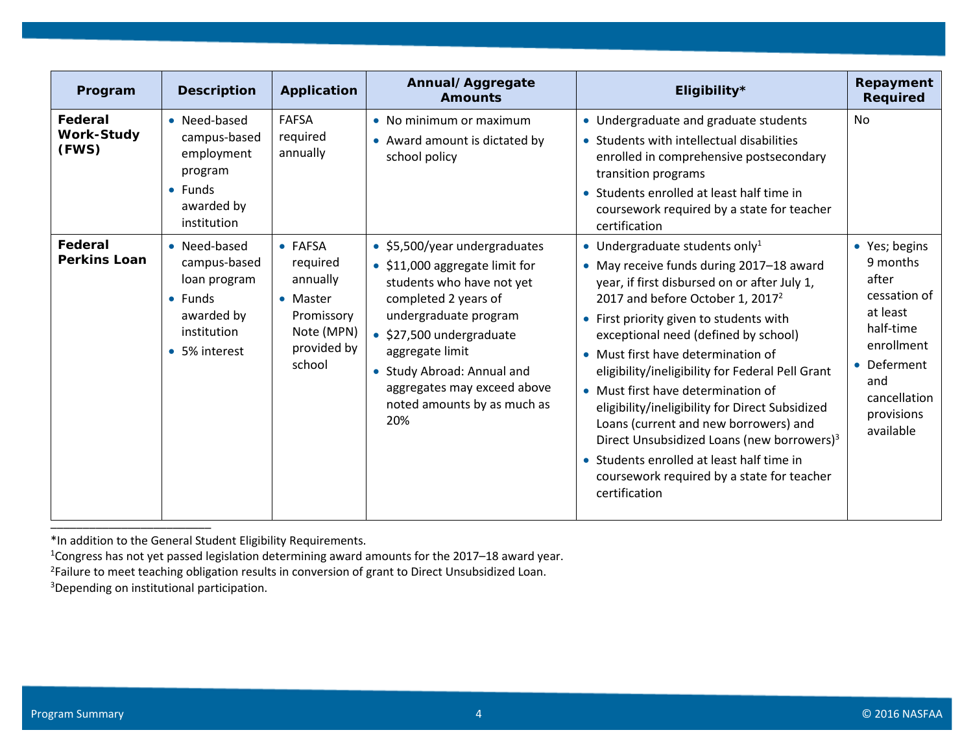| Program                               | <b>Description</b>                                                                                            | Application                                                                                      | Annual/Aggregate<br><b>Amounts</b>                                                                                                                                                                                                                                                            | Eligibility*                                                                                                                                                                                                                                                                                                                                                                                                                                                                                                                                                                                                                                                                | Repayment<br><b>Required</b>                                                                                                                             |
|---------------------------------------|---------------------------------------------------------------------------------------------------------------|--------------------------------------------------------------------------------------------------|-----------------------------------------------------------------------------------------------------------------------------------------------------------------------------------------------------------------------------------------------------------------------------------------------|-----------------------------------------------------------------------------------------------------------------------------------------------------------------------------------------------------------------------------------------------------------------------------------------------------------------------------------------------------------------------------------------------------------------------------------------------------------------------------------------------------------------------------------------------------------------------------------------------------------------------------------------------------------------------------|----------------------------------------------------------------------------------------------------------------------------------------------------------|
| Federal<br><b>Work-Study</b><br>(FWS) | • Need-based<br>campus-based<br>employment<br>program<br>$\bullet$ Funds<br>awarded by<br>institution         | <b>FAFSA</b><br>required<br>annually                                                             | • No minimum or maximum<br>• Award amount is dictated by<br>school policy                                                                                                                                                                                                                     | • Undergraduate and graduate students<br>• Students with intellectual disabilities<br>enrolled in comprehensive postsecondary<br>transition programs<br>• Students enrolled at least half time in<br>coursework required by a state for teacher<br>certification                                                                                                                                                                                                                                                                                                                                                                                                            | <b>No</b>                                                                                                                                                |
| Federal<br><b>Perkins Loan</b>        | • Need-based<br>campus-based<br>loan program<br>$\bullet$ Funds<br>awarded by<br>institution<br>• 5% interest | • FAFSA<br>required<br>annually<br>• Master<br>Promissory<br>Note (MPN)<br>provided by<br>school | • \$5,500/year undergraduates<br>• \$11,000 aggregate limit for<br>students who have not yet<br>completed 2 years of<br>undergraduate program<br>· \$27,500 undergraduate<br>aggregate limit<br>Study Abroad: Annual and<br>aggregates may exceed above<br>noted amounts by as much as<br>20% | • Undergraduate students only <sup>1</sup><br>• May receive funds during 2017-18 award<br>year, if first disbursed on or after July 1,<br>2017 and before October 1, 2017 <sup>2</sup><br>• First priority given to students with<br>exceptional need (defined by school)<br>• Must first have determination of<br>eligibility/ineligibility for Federal Pell Grant<br>• Must first have determination of<br>eligibility/ineligibility for Direct Subsidized<br>Loans (current and new borrowers) and<br>Direct Unsubsidized Loans (new borrowers) <sup>3</sup><br>• Students enrolled at least half time in<br>coursework required by a state for teacher<br>certification | • Yes; begins<br>9 months<br>after<br>cessation of<br>at least<br>half-time<br>enrollment<br>Deferment<br>and<br>cancellation<br>provisions<br>available |

1Congress has not yet passed legislation determining award amounts for the 2017–18 award year.

<sup>2</sup>Failure to meet teaching obligation results in conversion of grant to Direct Unsubsidized Loan.

<sup>3</sup>Depending on institutional participation.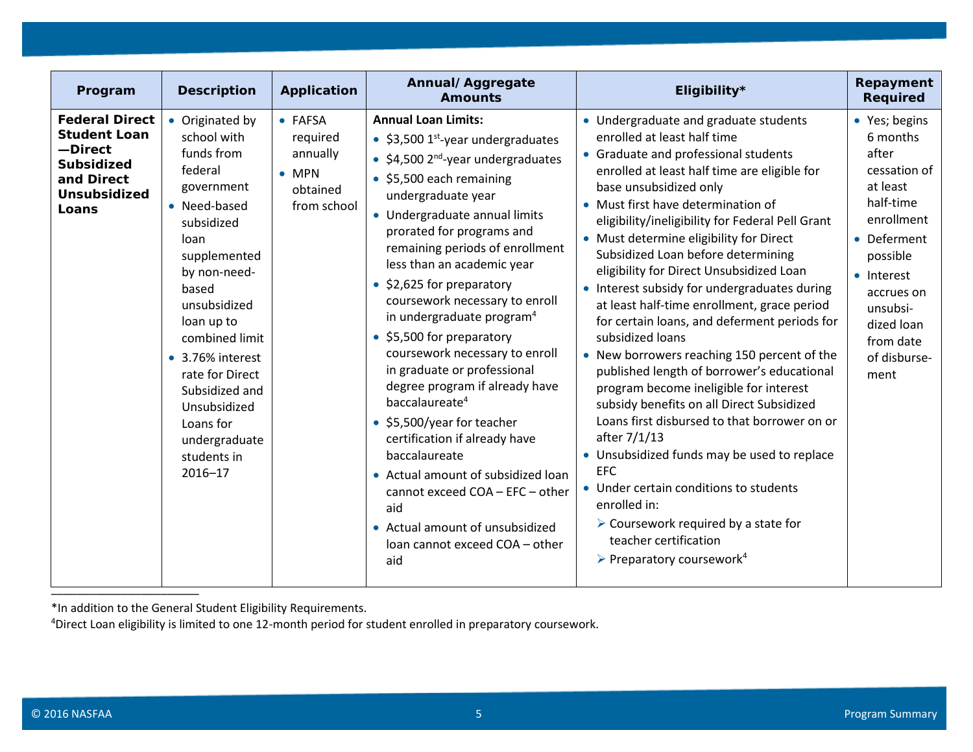| Program                                                                                                                    | <b>Description</b>                                                                                                                                                                                                                                                                                                                    | <b>Application</b>                                                          | Annual/Aggregate<br><b>Amounts</b>                                                                                                                                                                                                                                                                                                                                                                                                                                                                                                                                                                                                                                                                                                                                                                             | Eligibility*                                                                                                                                                                                                                                                                                                                                                                                                                                                                                                                                                                                                                                                                                                                                                                                                                                                                                                                                                                                                                                                                                        | Repayment<br><b>Required</b>                                                                                                                                                                                    |
|----------------------------------------------------------------------------------------------------------------------------|---------------------------------------------------------------------------------------------------------------------------------------------------------------------------------------------------------------------------------------------------------------------------------------------------------------------------------------|-----------------------------------------------------------------------------|----------------------------------------------------------------------------------------------------------------------------------------------------------------------------------------------------------------------------------------------------------------------------------------------------------------------------------------------------------------------------------------------------------------------------------------------------------------------------------------------------------------------------------------------------------------------------------------------------------------------------------------------------------------------------------------------------------------------------------------------------------------------------------------------------------------|-----------------------------------------------------------------------------------------------------------------------------------------------------------------------------------------------------------------------------------------------------------------------------------------------------------------------------------------------------------------------------------------------------------------------------------------------------------------------------------------------------------------------------------------------------------------------------------------------------------------------------------------------------------------------------------------------------------------------------------------------------------------------------------------------------------------------------------------------------------------------------------------------------------------------------------------------------------------------------------------------------------------------------------------------------------------------------------------------------|-----------------------------------------------------------------------------------------------------------------------------------------------------------------------------------------------------------------|
| <b>Federal Direct</b><br><b>Student Loan</b><br>-Direct<br><b>Subsidized</b><br>and Direct<br><b>Unsubsidized</b><br>Loans | • Originated by<br>school with<br>funds from<br>federal<br>government<br>• Need-based<br>subsidized<br>loan<br>supplemented<br>by non-need-<br>based<br>unsubsidized<br>loan up to<br>combined limit<br>• 3.76% interest<br>rate for Direct<br>Subsidized and<br>Unsubsidized<br>Loans for<br>undergraduate<br>students in<br>2016-17 | • FAFSA<br>required<br>annually<br>$\bullet$ MPN<br>obtained<br>from school | <b>Annual Loan Limits:</b><br>• \$3,500 $1st$ -year undergraduates<br>• \$4,500 $2^{nd}$ -year undergraduates<br>• \$5,500 each remaining<br>undergraduate year<br>• Undergraduate annual limits<br>prorated for programs and<br>remaining periods of enrollment<br>less than an academic year<br>\$2,625 for preparatory<br>coursework necessary to enroll<br>in undergraduate program <sup>4</sup><br>• \$5,500 for preparatory<br>coursework necessary to enroll<br>in graduate or professional<br>degree program if already have<br>baccalaureate <sup>4</sup><br>• \$5,500/year for teacher<br>certification if already have<br>baccalaureate<br>• Actual amount of subsidized loan<br>cannot exceed COA - EFC - other<br>aid<br>• Actual amount of unsubsidized<br>Ioan cannot exceed COA - other<br>aid | • Undergraduate and graduate students<br>enrolled at least half time<br>• Graduate and professional students<br>enrolled at least half time are eligible for<br>base unsubsidized only<br>• Must first have determination of<br>eligibility/ineligibility for Federal Pell Grant<br>• Must determine eligibility for Direct<br>Subsidized Loan before determining<br>eligibility for Direct Unsubsidized Loan<br>• Interest subsidy for undergraduates during<br>at least half-time enrollment, grace period<br>for certain loans, and deferment periods for<br>subsidized loans<br>• New borrowers reaching 150 percent of the<br>published length of borrower's educational<br>program become ineligible for interest<br>subsidy benefits on all Direct Subsidized<br>Loans first disbursed to that borrower on or<br>after 7/1/13<br>• Unsubsidized funds may be used to replace<br><b>EFC</b><br>• Under certain conditions to students<br>enrolled in:<br>$\triangleright$ Coursework required by a state for<br>teacher certification<br>$\triangleright$ Preparatory coursework <sup>4</sup> | • Yes; begins<br>6 months<br>after<br>cessation of<br>at least<br>half-time<br>enrollment<br>• Deferment<br>possible<br>• Interest<br>accrues on<br>unsubsi-<br>dized loan<br>from date<br>of disburse-<br>ment |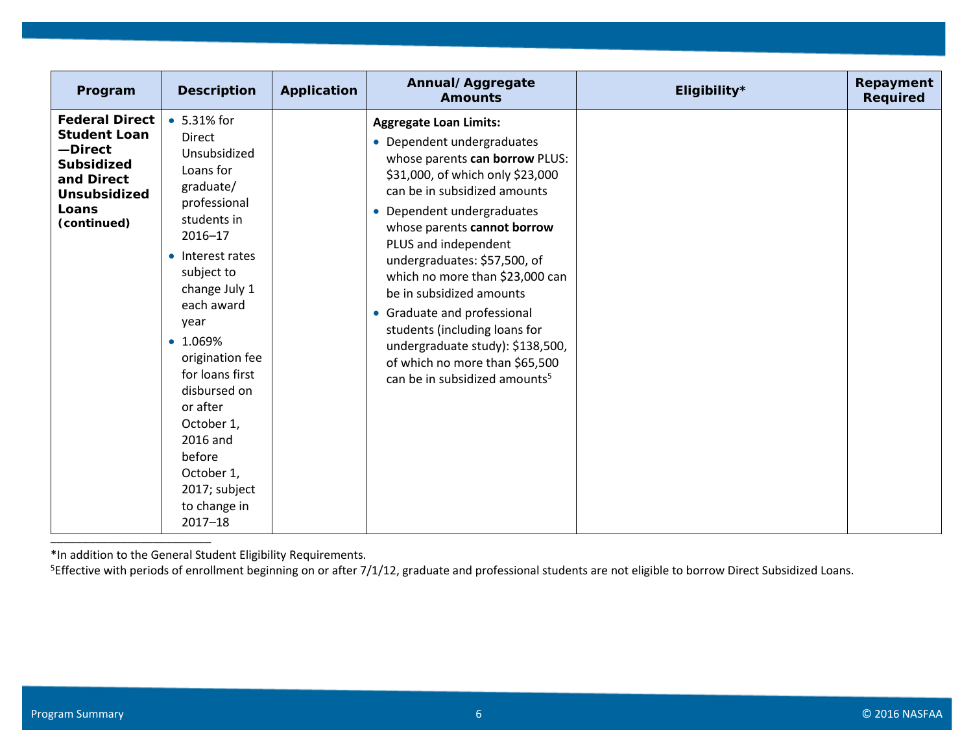| Program                                                                                                                                   | <b>Description</b>                                                                                                                                                                                                                                                                                                                                                                | Application | Annual/Aggregate<br><b>Amounts</b>                                                                                                                                                                                                                                                                                                                                                                                                                                                                                                       | Eligibility* | Repayment<br><b>Required</b> |
|-------------------------------------------------------------------------------------------------------------------------------------------|-----------------------------------------------------------------------------------------------------------------------------------------------------------------------------------------------------------------------------------------------------------------------------------------------------------------------------------------------------------------------------------|-------------|------------------------------------------------------------------------------------------------------------------------------------------------------------------------------------------------------------------------------------------------------------------------------------------------------------------------------------------------------------------------------------------------------------------------------------------------------------------------------------------------------------------------------------------|--------------|------------------------------|
| <b>Federal Direct</b><br><b>Student Loan</b><br>-Direct<br><b>Subsidized</b><br>and Direct<br><b>Unsubsidized</b><br>Loans<br>(continued) | • 5.31% for<br><b>Direct</b><br>Unsubsidized<br>Loans for<br>graduate/<br>professional<br>students in<br>2016-17<br>• Interest rates<br>subject to<br>change July 1<br>each award<br>year<br>$\bullet$ 1.069%<br>origination fee<br>for loans first<br>disbursed on<br>or after<br>October 1,<br>2016 and<br>before<br>October 1,<br>2017; subject<br>to change in<br>$2017 - 18$ |             | <b>Aggregate Loan Limits:</b><br>• Dependent undergraduates<br>whose parents can borrow PLUS:<br>\$31,000, of which only \$23,000<br>can be in subsidized amounts<br>• Dependent undergraduates<br>whose parents cannot borrow<br>PLUS and independent<br>undergraduates: \$57,500, of<br>which no more than \$23,000 can<br>be in subsidized amounts<br>• Graduate and professional<br>students (including loans for<br>undergraduate study): \$138,500,<br>of which no more than \$65,500<br>can be in subsidized amounts <sup>5</sup> |              |                              |

<sup>5</sup>Effective with periods of enrollment beginning on or after 7/1/12, graduate and professional students are not eligible to borrow Direct Subsidized Loans.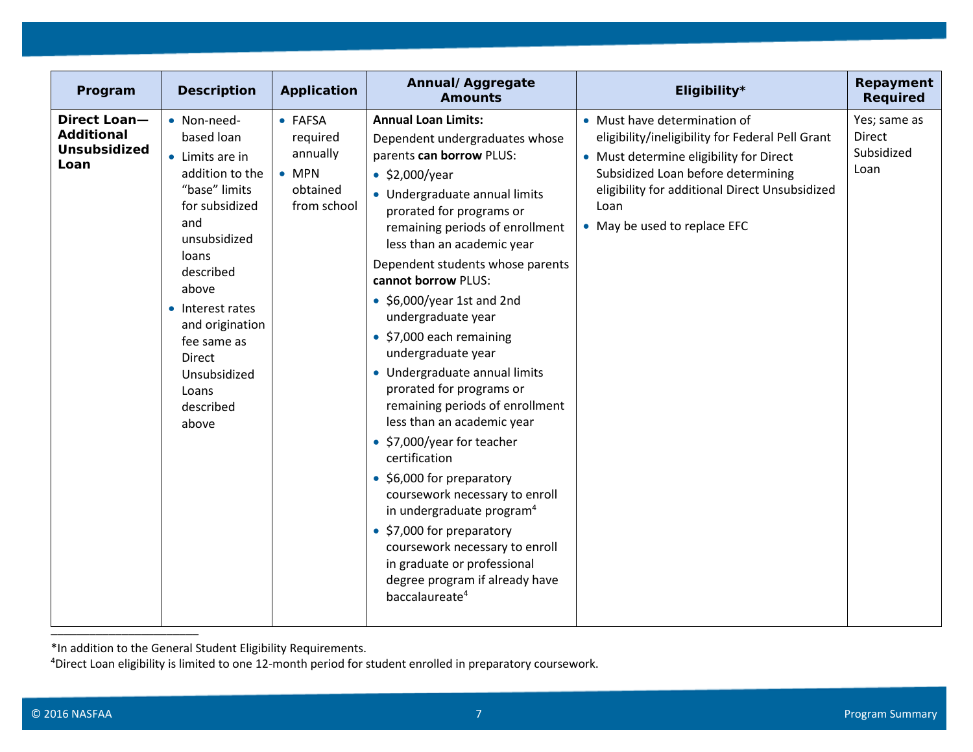| Program                                                          | <b>Description</b>                                                                                                                                                                                                                                                      | <b>Application</b>                                                          | Annual/Aggregate<br><b>Amounts</b>                                                                                                                                                                                                                                                                                                                                                                                                                                                                                                                                                                                                                                                                                                                                                                                                                                           | Eligibility*                                                                                                                                                                                                                                                | Repayment<br><b>Required</b>                        |
|------------------------------------------------------------------|-------------------------------------------------------------------------------------------------------------------------------------------------------------------------------------------------------------------------------------------------------------------------|-----------------------------------------------------------------------------|------------------------------------------------------------------------------------------------------------------------------------------------------------------------------------------------------------------------------------------------------------------------------------------------------------------------------------------------------------------------------------------------------------------------------------------------------------------------------------------------------------------------------------------------------------------------------------------------------------------------------------------------------------------------------------------------------------------------------------------------------------------------------------------------------------------------------------------------------------------------------|-------------------------------------------------------------------------------------------------------------------------------------------------------------------------------------------------------------------------------------------------------------|-----------------------------------------------------|
| Direct Loan-<br><b>Additional</b><br><b>Unsubsidized</b><br>Loan | • Non-need-<br>based loan<br>• Limits are in<br>addition to the<br>"base" limits<br>for subsidized<br>and<br>unsubsidized<br>loans<br>described<br>above<br>• Interest rates<br>and origination<br>fee same as<br>Direct<br>Unsubsidized<br>Loans<br>described<br>above | • FAFSA<br>required<br>annually<br>$\bullet$ MPN<br>obtained<br>from school | <b>Annual Loan Limits:</b><br>Dependent undergraduates whose<br>parents can borrow PLUS:<br>$\bullet$ \$2,000/year<br>• Undergraduate annual limits<br>prorated for programs or<br>remaining periods of enrollment<br>less than an academic year<br>Dependent students whose parents<br>cannot borrow PLUS:<br>$\bullet$ \$6,000/year 1st and 2nd<br>undergraduate year<br>• \$7,000 each remaining<br>undergraduate year<br>• Undergraduate annual limits<br>prorated for programs or<br>remaining periods of enrollment<br>less than an academic year<br>• \$7,000/year for teacher<br>certification<br>• \$6,000 for preparatory<br>coursework necessary to enroll<br>in undergraduate program <sup>4</sup><br>• \$7,000 for preparatory<br>coursework necessary to enroll<br>in graduate or professional<br>degree program if already have<br>baccalaureate <sup>4</sup> | • Must have determination of<br>eligibility/ineligibility for Federal Pell Grant<br>• Must determine eligibility for Direct<br>Subsidized Loan before determining<br>eligibility for additional Direct Unsubsidized<br>Loan<br>• May be used to replace EFC | Yes; same as<br><b>Direct</b><br>Subsidized<br>Loan |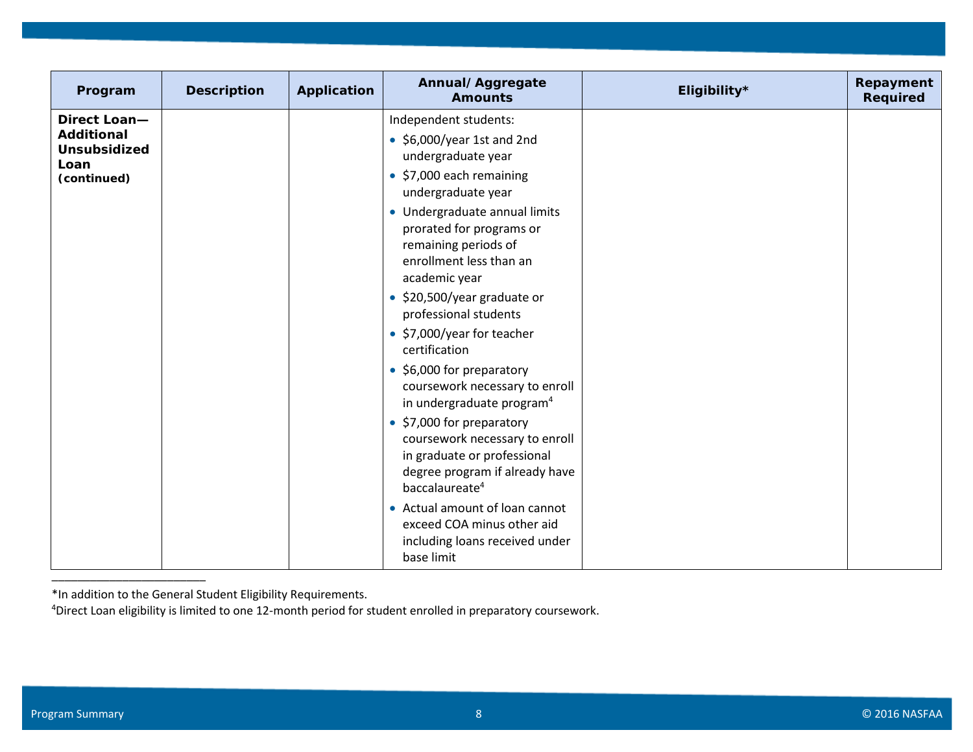| Program                                                                         | <b>Description</b> | Application | Annual/Aggregate<br><b>Amounts</b>                                                                                                                                                                                                                    | Eligibility* | Repayment<br>Required |
|---------------------------------------------------------------------------------|--------------------|-------------|-------------------------------------------------------------------------------------------------------------------------------------------------------------------------------------------------------------------------------------------------------|--------------|-----------------------|
| Direct Loan-<br><b>Additional</b><br><b>Unsubsidized</b><br>Loan<br>(continued) |                    |             | Independent students:<br>$\bullet$ \$6,000/year 1st and 2nd<br>undergraduate year<br>• \$7,000 each remaining<br>undergraduate year                                                                                                                   |              |                       |
|                                                                                 |                    |             | • Undergraduate annual limits<br>prorated for programs or<br>remaining periods of<br>enrollment less than an<br>academic year                                                                                                                         |              |                       |
|                                                                                 |                    |             | • \$20,500/year graduate or<br>professional students<br>• \$7,000/year for teacher                                                                                                                                                                    |              |                       |
|                                                                                 |                    |             | certification<br>• \$6,000 for preparatory<br>coursework necessary to enroll<br>in undergraduate program <sup>4</sup><br>• \$7,000 for preparatory<br>coursework necessary to enroll<br>in graduate or professional<br>degree program if already have |              |                       |
|                                                                                 |                    |             | baccalaureate <sup>4</sup><br>• Actual amount of loan cannot<br>exceed COA minus other aid<br>including loans received under<br>base limit                                                                                                            |              |                       |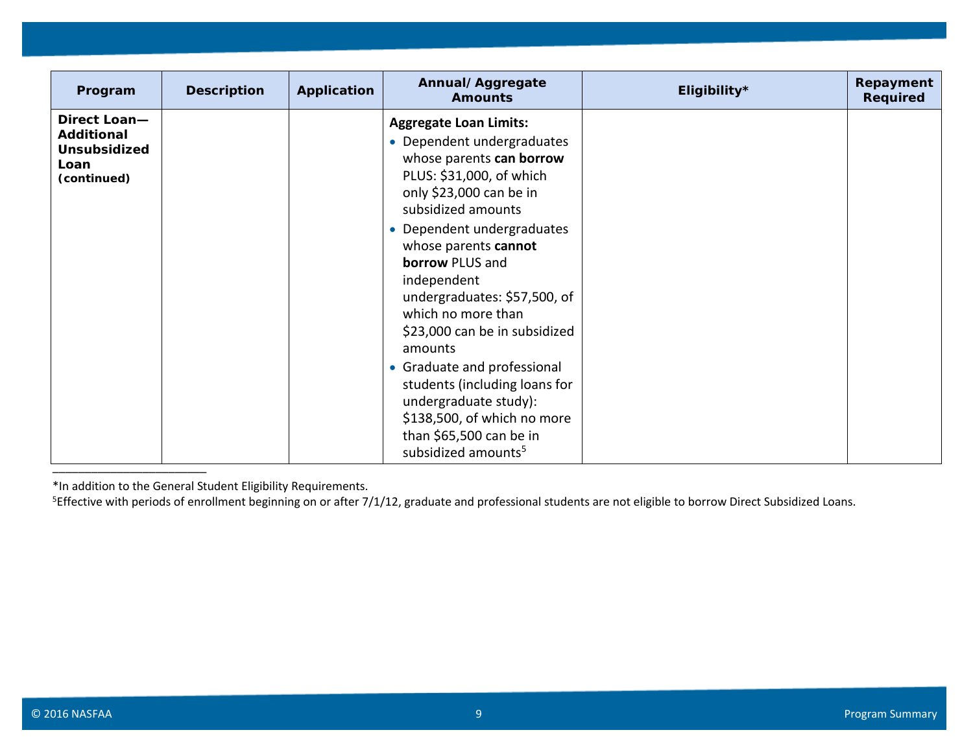| Program                                                                  | <b>Description</b> | Application | Annual/Aggregate<br><b>Amounts</b>                                                                                                                                                                                                                                                                                                                                                                                                                                                                                                                          | Eligibility* | Repayment<br>Required |
|--------------------------------------------------------------------------|--------------------|-------------|-------------------------------------------------------------------------------------------------------------------------------------------------------------------------------------------------------------------------------------------------------------------------------------------------------------------------------------------------------------------------------------------------------------------------------------------------------------------------------------------------------------------------------------------------------------|--------------|-----------------------|
| Direct Loan-<br><b>Additional</b><br>Unsubsidized<br>Loan<br>(continued) |                    |             | <b>Aggregate Loan Limits:</b><br>• Dependent undergraduates<br>whose parents can borrow<br>PLUS: \$31,000, of which<br>only \$23,000 can be in<br>subsidized amounts<br>• Dependent undergraduates<br>whose parents cannot<br><b>borrow PLUS and</b><br>independent<br>undergraduates: \$57,500, of<br>which no more than<br>\$23,000 can be in subsidized<br>amounts<br>• Graduate and professional<br>students (including loans for<br>undergraduate study):<br>\$138,500, of which no more<br>than \$65,500 can be in<br>subsidized amounts <sup>5</sup> |              |                       |

<sup>5</sup>Effective with periods of enrollment beginning on or after 7/1/12, graduate and professional students are not eligible to borrow Direct Subsidized Loans.